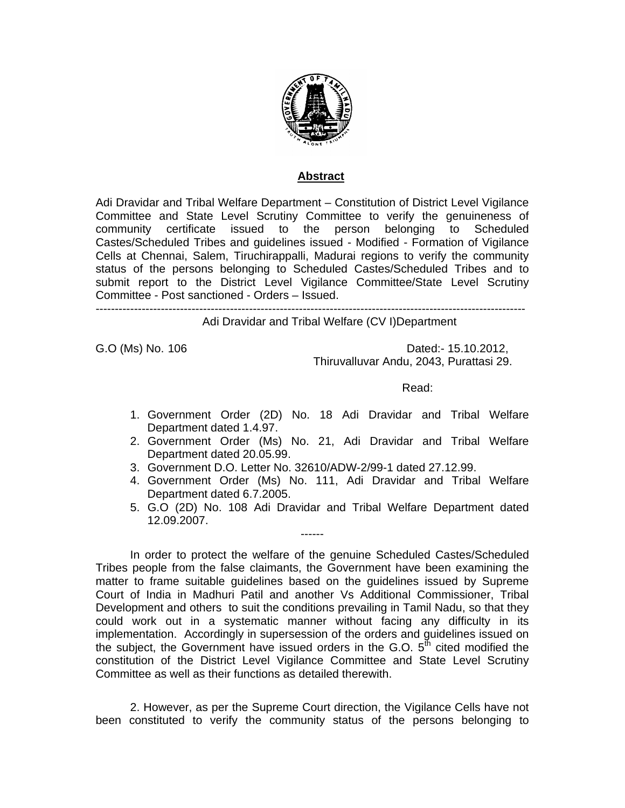

## **Abstract**

Adi Dravidar and Tribal Welfare Department – Constitution of District Level Vigilance Committee and State Level Scrutiny Committee to verify the genuineness of community certificate issued to the person belonging to Scheduled Castes/Scheduled Tribes and guidelines issued - Modified - Formation of Vigilance Cells at Chennai, Salem, Tiruchirappalli, Madurai regions to verify the community status of the persons belonging to Scheduled Castes/Scheduled Tribes and to submit report to the District Level Vigilance Committee/State Level Scrutiny Committee - Post sanctioned - Orders – Issued.

----------------------------------------------------------------------------------------------------------------

Adi Dravidar and Tribal Welfare (CV I)Department

G.O (Ms) No. 106 Dated:- 15.10.2012, Thiruvalluvar Andu, 2043, Purattasi 29.

**Read:** The contract of the contract of the contract of the Read:

- 1. Government Order (2D) No. 18 Adi Dravidar and Tribal Welfare Department dated 1.4.97.
- 2. Government Order (Ms) No. 21, Adi Dravidar and Tribal Welfare Department dated 20.05.99.
- 3. Government D.O. Letter No. 32610/ADW-2/99-1 dated 27.12.99.
- 4. Government Order (Ms) No. 111, Adi Dravidar and Tribal Welfare Department dated 6.7.2005.
- 5. G.O (2D) No. 108 Adi Dravidar and Tribal Welfare Department dated 12.09.2007.

In order to protect the welfare of the genuine Scheduled Castes/Scheduled Tribes people from the false claimants, the Government have been examining the matter to frame suitable guidelines based on the guidelines issued by Supreme Court of India in Madhuri Patil and another Vs Additional Commissioner, Tribal Development and others to suit the conditions prevailing in Tamil Nadu, so that they could work out in a systematic manner without facing any difficulty in its implementation. Accordingly in supersession of the orders and guidelines issued on the subject, the Government have issued orders in the G.O.  $5<sup>th</sup>$  cited modified the constitution of the District Level Vigilance Committee and State Level Scrutiny Committee as well as their functions as detailed therewith.

------

2. However, as per the Supreme Court direction, the Vigilance Cells have not been constituted to verify the community status of the persons belonging to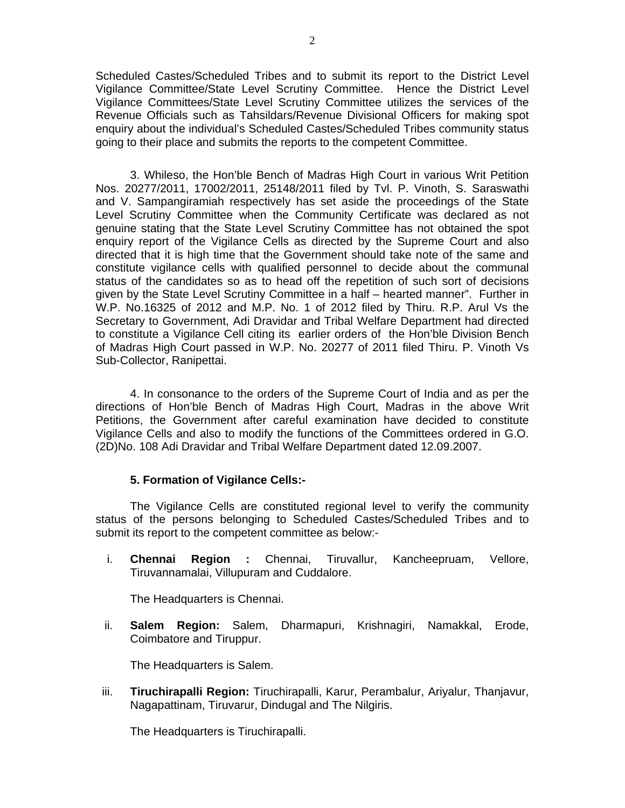Scheduled Castes/Scheduled Tribes and to submit its report to the District Level Vigilance Committee/State Level Scrutiny Committee. Hence the District Level Vigilance Committees/State Level Scrutiny Committee utilizes the services of the Revenue Officials such as Tahsildars/Revenue Divisional Officers for making spot enquiry about the individual's Scheduled Castes/Scheduled Tribes community status going to their place and submits the reports to the competent Committee.

3. Whileso, the Hon'ble Bench of Madras High Court in various Writ Petition Nos. 20277/2011, 17002/2011, 25148/2011 filed by Tvl. P. Vinoth, S. Saraswathi and V. Sampangiramiah respectively has set aside the proceedings of the State Level Scrutiny Committee when the Community Certificate was declared as not genuine stating that the State Level Scrutiny Committee has not obtained the spot enquiry report of the Vigilance Cells as directed by the Supreme Court and also directed that it is high time that the Government should take note of the same and constitute vigilance cells with qualified personnel to decide about the communal status of the candidates so as to head off the repetition of such sort of decisions given by the State Level Scrutiny Committee in a half – hearted manner". Further in W.P. No.16325 of 2012 and M.P. No. 1 of 2012 filed by Thiru. R.P. Arul Vs the Secretary to Government, Adi Dravidar and Tribal Welfare Department had directed to constitute a Vigilance Cell citing its earlier orders of the Hon'ble Division Bench of Madras High Court passed in W.P. No. 20277 of 2011 filed Thiru. P. Vinoth Vs Sub-Collector, Ranipettai.

4. In consonance to the orders of the Supreme Court of India and as per the directions of Hon'ble Bench of Madras High Court, Madras in the above Writ Petitions, the Government after careful examination have decided to constitute Vigilance Cells and also to modify the functions of the Committees ordered in G.O. (2D)No. 108 Adi Dravidar and Tribal Welfare Department dated 12.09.2007.

# **5. Formation of Vigilance Cells:-**

The Vigilance Cells are constituted regional level to verify the community status of the persons belonging to Scheduled Castes/Scheduled Tribes and to submit its report to the competent committee as below:-

i. **Chennai Region :** Chennai, Tiruvallur, Kancheepruam, Vellore, Tiruvannamalai, Villupuram and Cuddalore.

The Headquarters is Chennai.

ii. **Salem Region:** Salem, Dharmapuri, Krishnagiri, Namakkal, Erode, Coimbatore and Tiruppur.

The Headquarters is Salem.

iii. **Tiruchirapalli Region:** Tiruchirapalli, Karur, Perambalur, Ariyalur, Thanjavur, Nagapattinam, Tiruvarur, Dindugal and The Nilgiris.

The Headquarters is Tiruchirapalli.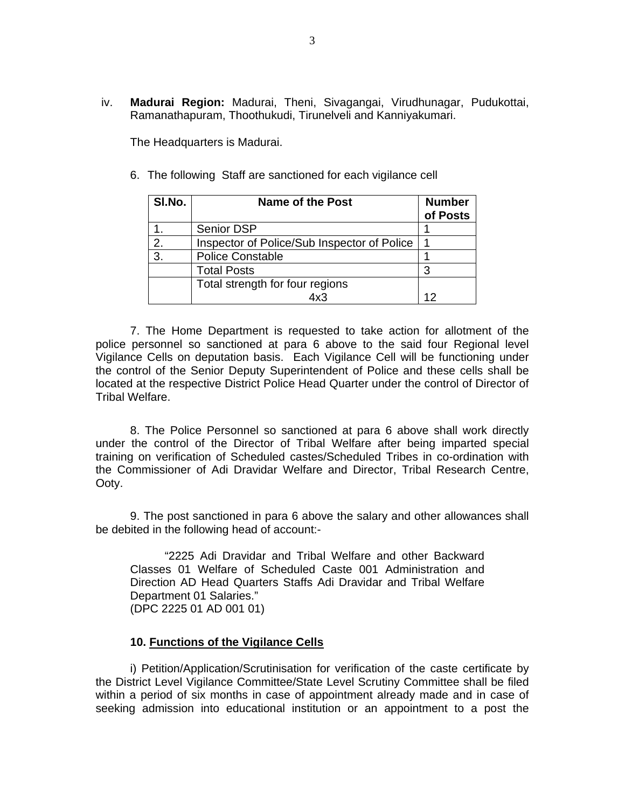iv. **Madurai Region:** Madurai, Theni, Sivagangai, Virudhunagar, Pudukottai, Ramanathapuram, Thoothukudi, Tirunelveli and Kanniyakumari.

The Headquarters is Madurai.

6. The following Staff are sanctioned for each vigilance cell

| SI.No. | <b>Name of the Post</b>                     | <b>Number</b><br>of Posts |
|--------|---------------------------------------------|---------------------------|
|        | Senior DSP                                  |                           |
| 2.     | Inspector of Police/Sub Inspector of Police |                           |
| 3.     | <b>Police Constable</b>                     |                           |
|        | <b>Total Posts</b>                          |                           |
|        | Total strength for four regions             |                           |
|        | 4x3                                         | 12                        |

7. The Home Department is requested to take action for allotment of the police personnel so sanctioned at para 6 above to the said four Regional level Vigilance Cells on deputation basis. Each Vigilance Cell will be functioning under the control of the Senior Deputy Superintendent of Police and these cells shall be located at the respective District Police Head Quarter under the control of Director of Tribal Welfare.

8. The Police Personnel so sanctioned at para 6 above shall work directly under the control of the Director of Tribal Welfare after being imparted special training on verification of Scheduled castes/Scheduled Tribes in co-ordination with the Commissioner of Adi Dravidar Welfare and Director, Tribal Research Centre, Ooty.

9. The post sanctioned in para 6 above the salary and other allowances shall be debited in the following head of account:-

"2225 Adi Dravidar and Tribal Welfare and other Backward Classes 01 Welfare of Scheduled Caste 001 Administration and Direction AD Head Quarters Staffs Adi Dravidar and Tribal Welfare Department 01 Salaries." (DPC 2225 01 AD 001 01)

#### **10. Functions of the Vigilance Cells**

i) Petition/Application/Scrutinisation for verification of the caste certificate by the District Level Vigilance Committee/State Level Scrutiny Committee shall be filed within a period of six months in case of appointment already made and in case of seeking admission into educational institution or an appointment to a post the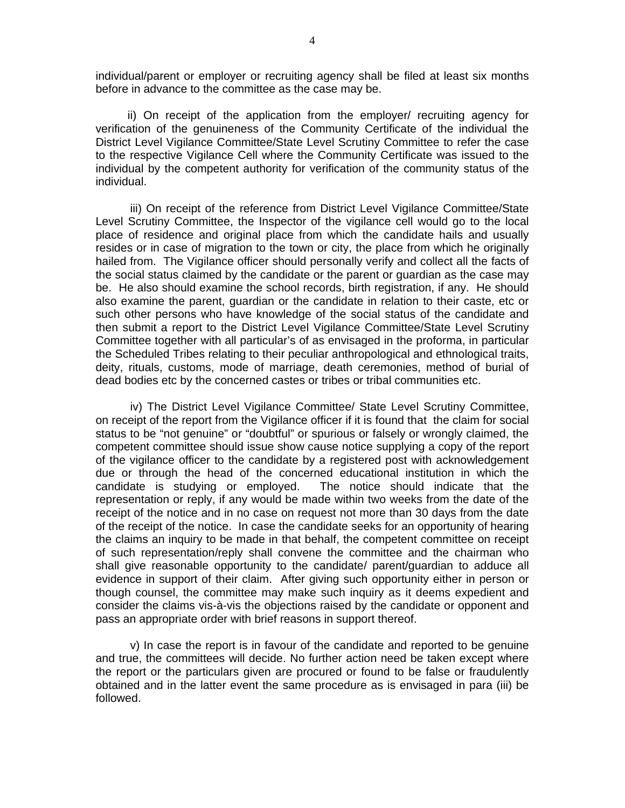individual/parent or employer or recruiting agency shall be filed at least six months before in advance to the committee as the case may be.

 ii) On receipt of the application from the employer/ recruiting agency for verification of the genuineness of the Community Certificate of the individual the District Level Vigilance Committee/State Level Scrutiny Committee to refer the case to the respective Vigilance Cell where the Community Certificate was issued to the individual by the competent authority for verification of the community status of the individual.

iii) On receipt of the reference from District Level Vigilance Committee/State Level Scrutiny Committee, the Inspector of the vigilance cell would go to the local place of residence and original place from which the candidate hails and usually resides or in case of migration to the town or city, the place from which he originally hailed from. The Vigilance officer should personally verify and collect all the facts of the social status claimed by the candidate or the parent or guardian as the case may be. He also should examine the school records, birth registration, if any. He should also examine the parent, guardian or the candidate in relation to their caste, etc or such other persons who have knowledge of the social status of the candidate and then submit a report to the District Level Vigilance Committee/State Level Scrutiny Committee together with all particular's of as envisaged in the proforma, in particular the Scheduled Tribes relating to their peculiar anthropological and ethnological traits, deity, rituals, customs, mode of marriage, death ceremonies, method of burial of dead bodies etc by the concerned castes or tribes or tribal communities etc.

iv) The District Level Vigilance Committee/ State Level Scrutiny Committee, on receipt of the report from the Vigilance officer if it is found that the claim for social status to be "not genuine" or "doubtful" or spurious or falsely or wrongly claimed, the competent committee should issue show cause notice supplying a copy of the report of the vigilance officer to the candidate by a registered post with acknowledgement due or through the head of the concerned educational institution in which the candidate is studying or employed. The notice should indicate that the representation or reply, if any would be made within two weeks from the date of the receipt of the notice and in no case on request not more than 30 days from the date of the receipt of the notice. In case the candidate seeks for an opportunity of hearing the claims an inquiry to be made in that behalf, the competent committee on receipt of such representation/reply shall convene the committee and the chairman who shall give reasonable opportunity to the candidate/ parent/guardian to adduce all evidence in support of their claim. After giving such opportunity either in person or though counsel, the committee may make such inquiry as it deems expedient and consider the claims vis-à-vis the objections raised by the candidate or opponent and pass an appropriate order with brief reasons in support thereof.

v) In case the report is in favour of the candidate and reported to be genuine and true, the committees will decide. No further action need be taken except where the report or the particulars given are procured or found to be false or fraudulently obtained and in the latter event the same procedure as is envisaged in para (iii) be followed.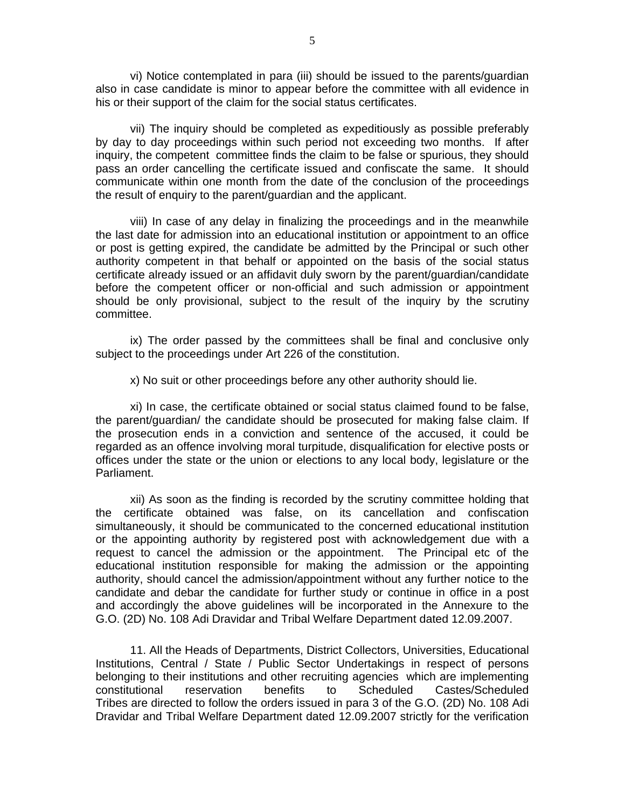vi) Notice contemplated in para (iii) should be issued to the parents/guardian also in case candidate is minor to appear before the committee with all evidence in his or their support of the claim for the social status certificates.

vii) The inquiry should be completed as expeditiously as possible preferably by day to day proceedings within such period not exceeding two months. If after inquiry, the competent committee finds the claim to be false or spurious, they should pass an order cancelling the certificate issued and confiscate the same. It should communicate within one month from the date of the conclusion of the proceedings the result of enquiry to the parent/guardian and the applicant.

viii) In case of any delay in finalizing the proceedings and in the meanwhile the last date for admission into an educational institution or appointment to an office or post is getting expired, the candidate be admitted by the Principal or such other authority competent in that behalf or appointed on the basis of the social status certificate already issued or an affidavit duly sworn by the parent/guardian/candidate before the competent officer or non-official and such admission or appointment should be only provisional, subject to the result of the inquiry by the scrutiny committee.

ix) The order passed by the committees shall be final and conclusive only subject to the proceedings under Art 226 of the constitution.

x) No suit or other proceedings before any other authority should lie.

xi) In case, the certificate obtained or social status claimed found to be false, the parent/guardian/ the candidate should be prosecuted for making false claim. If the prosecution ends in a conviction and sentence of the accused, it could be regarded as an offence involving moral turpitude, disqualification for elective posts or offices under the state or the union or elections to any local body, legislature or the Parliament.

xii) As soon as the finding is recorded by the scrutiny committee holding that the certificate obtained was false, on its cancellation and confiscation simultaneously, it should be communicated to the concerned educational institution or the appointing authority by registered post with acknowledgement due with a request to cancel the admission or the appointment. The Principal etc of the educational institution responsible for making the admission or the appointing authority, should cancel the admission/appointment without any further notice to the candidate and debar the candidate for further study or continue in office in a post and accordingly the above guidelines will be incorporated in the Annexure to the G.O. (2D) No. 108 Adi Dravidar and Tribal Welfare Department dated 12.09.2007.

11. All the Heads of Departments, District Collectors, Universities, Educational Institutions, Central / State / Public Sector Undertakings in respect of persons belonging to their institutions and other recruiting agencies which are implementing constitutional reservation benefits to Scheduled Castes/Scheduled Tribes are directed to follow the orders issued in para 3 of the G.O. (2D) No. 108 Adi Dravidar and Tribal Welfare Department dated 12.09.2007 strictly for the verification